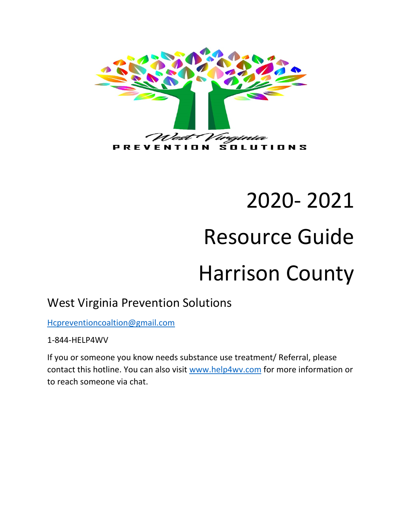

# 2020- 2021 Resource Guide Harrison County

# West Virginia Prevention Solutions

[Hcpreventioncoaltion@gmail.com](mailto:Hcpreventioncoaltion@gmail.com)

1-844-HELP4WV

If you or someone you know needs substance use treatment/ Referral, please contact this hotline. You can also visit [www.help4wv.com](http://www.help4wv.com/) for more information or to reach someone via chat.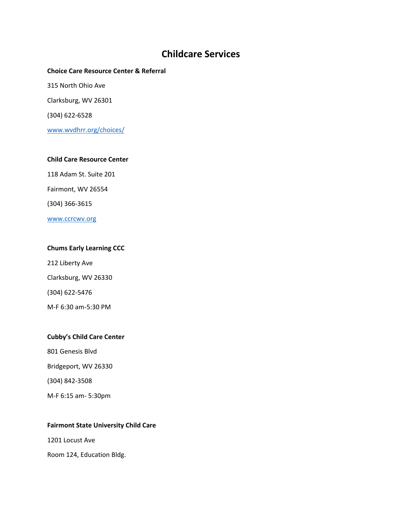# **Childcare Services**

**Choice Care Resource Center & Referral**  315 North Ohio Ave Clarksburg, WV 26301 (304) 622-6528 [www.wvdhrr.org/choices/](http://www.wvdhrr.org/choices/)

#### **Child Care Resource Center**

118 Adam St. Suite 201 Fairmont, WV 26554 (304) 366-3615 [www.ccrcwv.org](http://www.ccrcwv.org/)

#### **Chums Early Learning CCC**

212 Liberty Ave Clarksburg, WV 26330 (304) 622-5476 M-F 6:30 am-5:30 PM

#### **Cubby's Child Care Center**

801 Genesis Blvd

Bridgeport, WV 26330

(304) 842-3508

M-F 6:15 am- 5:30pm

#### **Fairmont State University Child Care**

1201 Locust Ave

Room 124, Education Bldg.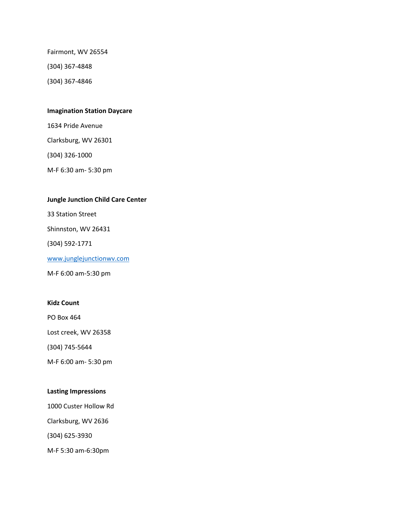Fairmont, WV 26554

(304) 367-4848

(304) 367-4846

#### **Imagination Station Daycare**

1634 Pride Avenue Clarksburg, WV 26301 (304) 326-1000 M-F 6:30 am- 5:30 pm

#### **Jungle Junction Child Care Center**

33 Station Street

Shinnston, WV 26431

(304) 592-1771

[www.junglejunctionwv.com](http://www.junglejunctionwv.com/)

M-F 6:00 am-5:30 pm

#### **Kidz Count**

PO Box 464

Lost creek, WV 26358

(304) 745-5644

M-F 6:00 am- 5:30 pm

#### **Lasting Impressions**

1000 Custer Hollow Rd

Clarksburg, WV 2636

(304) 625-3930

M-F 5:30 am-6:30pm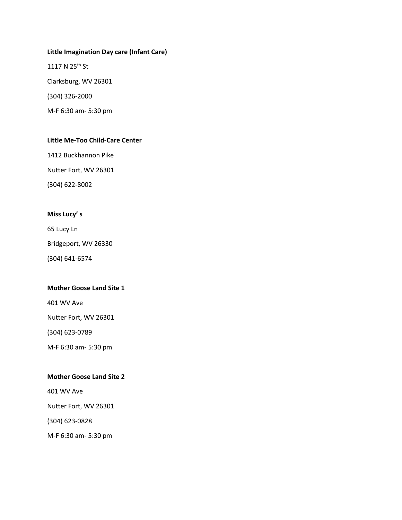#### **Little Imagination Day care (Infant Care)**

1117 N 25<sup>th</sup> St Clarksburg, WV 26301 (304) 326-2000 M-F 6:30 am- 5:30 pm

#### **Little Me-Too Child-Care Center**

1412 Buckhannon Pike

Nutter Fort, WV 26301

(304) 622-8002

#### **Miss Lucy' s**

65 Lucy Ln

Bridgeport, WV 26330

(304) 641-6574

#### **Mother Goose Land Site 1**

401 WV Ave

Nutter Fort, WV 26301

(304) 623-0789

M-F 6:30 am- 5:30 pm

#### **Mother Goose Land Site 2**

401 WV Ave

Nutter Fort, WV 26301

(304) 623-0828

M-F 6:30 am- 5:30 pm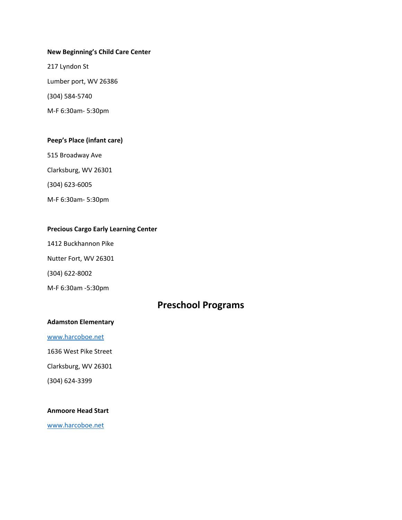#### **New Beginning's Child Care Center**

217 Lyndon St Lumber port, WV 26386 (304) 584-5740 M-F 6:30am- 5:30pm

#### **Peep's Place (infant care)**

515 Broadway Ave

Clarksburg, WV 26301

(304) 623-6005

M-F 6:30am- 5:30pm

#### **Precious Cargo Early Learning Center**

1412 Buckhannon Pike

Nutter Fort, WV 26301

(304) 622-8002

M-F 6:30am -5:30pm

# **Preschool Programs**

#### **Adamston Elementary**

[www.harcoboe.net](http://www.harcoboe.net/)

1636 West Pike Street

Clarksburg, WV 26301

(304) 624-3399

#### **Anmoore Head Start**

[www.harcoboe.net](http://www.harcoboe.net/)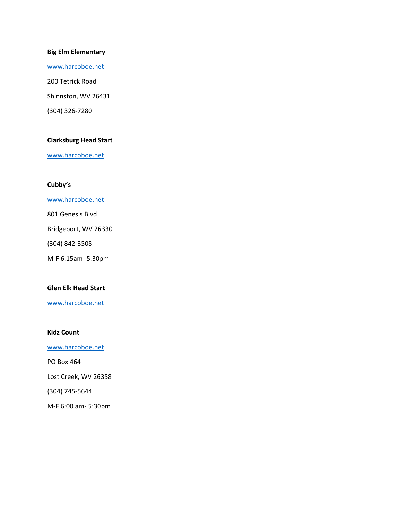#### **Big Elm Elementary**

[www.harcoboe.net](http://www.harcoboe.net/)

200 Tetrick Road Shinnston, WV 26431 (304) 326-7280

#### **Clarksburg Head Start**

[www.harcoboe.net](http://www.harcoboe.net/)

#### **Cubby's**

[www.harcoboe.net](http://www.harcoboe.net/)

801 Genesis Blvd

Bridgeport, WV 26330

(304) 842-3508

M-F 6:15am- 5:30pm

#### **Glen Elk Head Start**

[www.harcoboe.net](http://www.harcoboe.net/)

#### **Kidz Count**

[www.harcoboe.net](http://www.harcoboe.net/)

PO Box 464

Lost Creek, WV 26358

(304) 745-5644

M-F 6:00 am- 5:30pm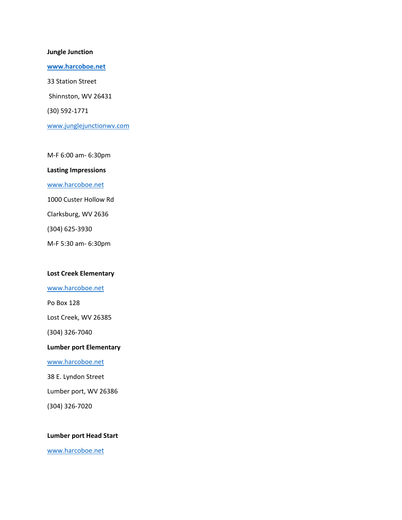#### **Jungle Junction**

**[www.harcoboe.net](http://www.harcoboe.net/)** 33 Station Street Shinnston, WV 26431 (30) 592-1771 [www.junglejunctionwv.com](http://www.junglejunctionwv.com/)

M-F 6:00 am- 6:30pm

#### **Lasting Impressions**

[www.harcoboe.net](http://www.harcoboe.net/)

1000 Custer Hollow Rd

Clarksburg, WV 2636

(304) 625-3930

M-F 5:30 am- 6:30pm

#### **Lost Creek Elementary**

#### [www.harcoboe.net](http://www.harcoboe.net/)

Po Box 128

Lost Creek, WV 26385

(304) 326-7040

**Lumber port Elementary** 

[www.harcoboe.net](http://www.harcoboe.net/)

38 E. Lyndon Street

Lumber port, WV 26386

(304) 326-7020

#### **Lumber port Head Start**

[www.harcoboe.net](http://www.harcoboe.net/)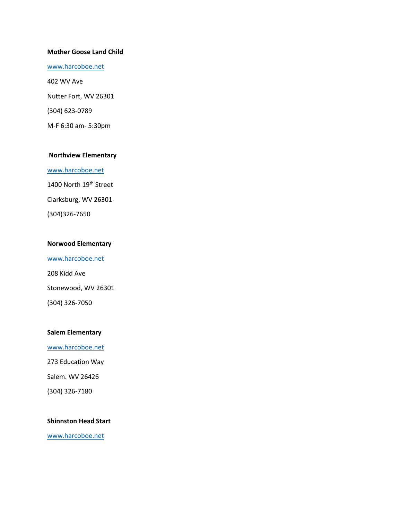#### **Mother Goose Land Child**

[www.harcoboe.net](http://www.harcoboe.net/)

402 WV Ave Nutter Fort, WV 26301 (304) 623-0789 M-F 6:30 am- 5:30pm

#### **Northview Elementary**

[www.harcoboe.net](http://www.harcoboe.net/) 1400 North 19<sup>th</sup> Street Clarksburg, WV 26301 (304)326-7650

#### **Norwood Elementary**

[www.harcoboe.net](http://www.harcoboe.net/) 208 Kidd Ave Stonewood, WV 26301 (304) 326-7050

#### **Salem Elementary**

[www.harcoboe.net](http://www.harcoboe.net/) 273 Education Way

Salem. WV 26426

(304) 326-7180

#### **Shinnston Head Start**

[www.harcoboe.net](http://www.harcoboe.net/)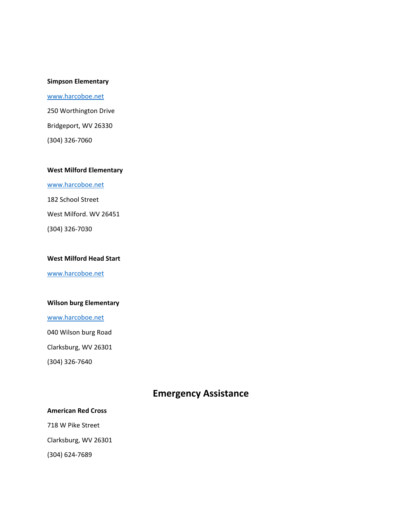#### **Simpson Elementary**

[www.harcoboe.net](http://www.harcoboe.net/) 250 Worthington Drive Bridgeport, WV 26330 (304) 326-7060

#### **West Milford Elementary**

[www.harcoboe.net](http://www.harcoboe.net/)

182 School Street

West Milford. WV 26451

(304) 326-7030

#### **West Milford Head Start**

[www.harcoboe.net](http://www.harcoboe.net/)

#### **Wilson burg Elementary**

[www.harcoboe.net](http://www.harcoboe.net/)

040 Wilson burg Road

Clarksburg, WV 26301

(304) 326-7640

# **Emergency Assistance**

**American Red Cross** 718 W Pike Street Clarksburg, WV 26301

(304) 624-7689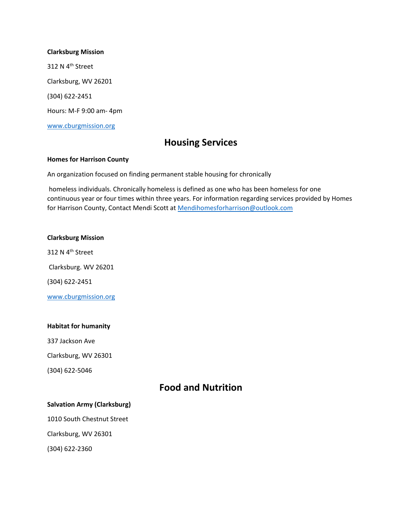#### **Clarksburg Mission**

312 N 4<sup>th</sup> Street Clarksburg, WV 26201 (304) 622-2451 Hours: M-F 9:00 am- 4pm

[www.cburgmission.org](http://www.cburgmission.org/)

## **Housing Services**

#### **Homes for Harrison County**

An organization focused on finding permanent stable housing for chronically

homeless individuals. Chronically homeless is defined as one who has been homeless for one continuous year or four times within three years. For information regarding services provided by Homes for Harrison County, Contact Mendi Scott at [Mendihomesforharrison@outlook.com](mailto:Mendihomesforharrison@outlook.com)

#### **Clarksburg Mission**

312 N 4<sup>th</sup> Street Clarksburg. WV 26201 (304) 622-2451

[www.cburgmission.org](http://www.cburgmission.org/)

#### **Habitat for humanity**

337 Jackson Ave

Clarksburg, WV 26301

(304) 622-5046

## **Food and Nutrition**

#### **Salvation Army (Clarksburg)**

1010 South Chestnut Street Clarksburg, WV 26301

(304) 622-2360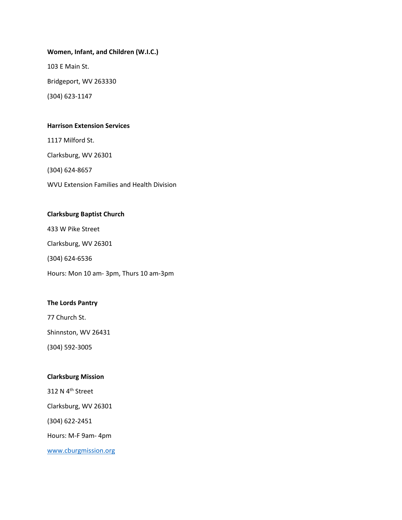# **Women, Infant, and Children (W.I.C.)** 103 E Main St. Bridgeport, WV 263330

(304) 623-1147

#### **Harrison Extension Services**

1117 Milford St.

Clarksburg, WV 26301

(304) 624-8657

WVU Extension Families and Health Division

#### **Clarksburg Baptist Church**

433 W Pike Street

Clarksburg, WV 26301

(304) 624-6536

Hours: Mon 10 am- 3pm, Thurs 10 am-3pm

#### **The Lords Pantry**

77 Church St.

Shinnston, WV 26431

(304) 592-3005

#### **Clarksburg Mission**

312 N 4<sup>th</sup> Street

Clarksburg, WV 26301

(304) 622-2451

Hours: M-F 9am- 4pm

[www.cburgmission.org](http://www.cburgmission.org/)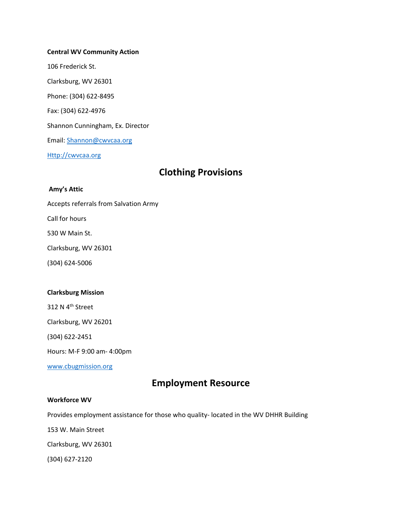# **Central WV Community Action**  106 Frederick St. Clarksburg, WV 26301 Phone: (304) 622-8495

Fax: (304) 622-4976

Shannon Cunningham, Ex. Director

Email: [Shannon@cwvcaa.org](mailto:Shannon@cwvcaa.org)

[Http://cwvcaa.org](http://cwvcaa.org/)

# **Clothing Provisions**

#### **Amy's Attic**

Accepts referrals from Salvation Army

Call for hours

530 W Main St.

Clarksburg, WV 26301

(304) 624-5006

#### **Clarksburg Mission**

312 N 4<sup>th</sup> Street

Clarksburg, WV 26201

(304) 622-2451

Hours: M-F 9:00 am- 4:00pm

[www.cbugmission.org](http://www.cbugmission.org/)

# **Employment Resource**

#### **Workforce WV**

Provides employment assistance for those who quality- located in the WV DHHR Building

153 W. Main Street

Clarksburg, WV 26301

(304) 627-2120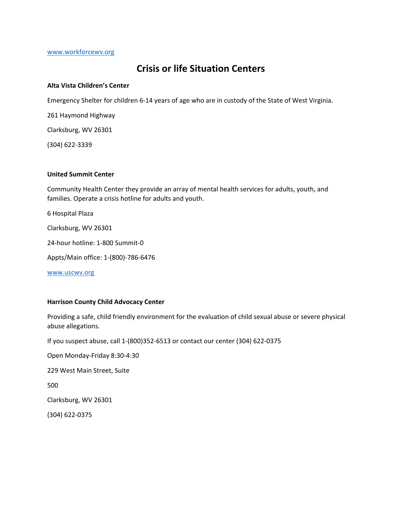[www.workforcewv.org](http://www.workforcewv.org/)

## **Crisis or life Situation Centers**

#### **Alta Vista Children's Center**

Emergency Shelter for children 6-14 years of age who are in custody of the State of West Virginia.

261 Haymond Highway

Clarksburg, WV 26301

(304) 622-3339

#### **United Summit Center**

Community Health Center they provide an array of mental health services for adults, youth, and families. Operate a crisis hotline for adults and youth.

6 Hospital Plaza

Clarksburg, WV 26301

24-hour hotline: 1-800 Summit-0

Appts/Main office: 1-(800)-786-6476

[www.uscwv.org](http://www.uscwv.org/)

#### **Harrison County Child Advocacy Center**

Providing a safe, child friendly environment for the evaluation of child sexual abuse or severe physical abuse allegations.

If you suspect abuse, call 1-(800)352-6513 or contact our center (304) 622-0375

Open Monday-Friday 8:30-4:30 229 West Main Street, Suite 500 Clarksburg, WV 26301 (304) 622-0375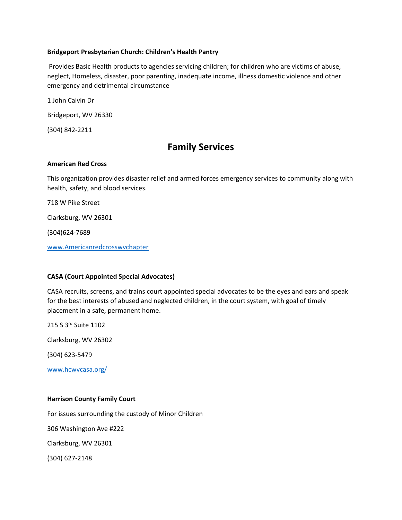#### **Bridgeport Presbyterian Church: Children's Health Pantry**

Provides Basic Health products to agencies servicing children; for children who are victims of abuse, neglect, Homeless, disaster, poor parenting, inadequate income, illness domestic violence and other emergency and detrimental circumstance

1 John Calvin Dr

Bridgeport, WV 26330

(304) 842-2211

# **Family Services**

#### **American Red Cross**

This organization provides disaster relief and armed forces emergency services to community along with health, safety, and blood services.

718 W Pike Street

Clarksburg, WV 26301

(304)624-7689

[www.Americanredcrosswvchapter](http://www.americanredcrosswvchapter/)

#### **CASA (Court Appointed Special Advocates)**

CASA recruits, screens, and trains court appointed special advocates to be the eyes and ears and speak for the best interests of abused and neglected children, in the court system, with goal of timely placement in a safe, permanent home.

215 S 3rd Suite 1102

Clarksburg, WV 26302

(304) 623-5479

[www.hcwvcasa.org/](http://www.hcwvcasa.org/)

#### **Harrison County Family Court**

For issues surrounding the custody of Minor Children

306 Washington Ave #222

Clarksburg, WV 26301

(304) 627-2148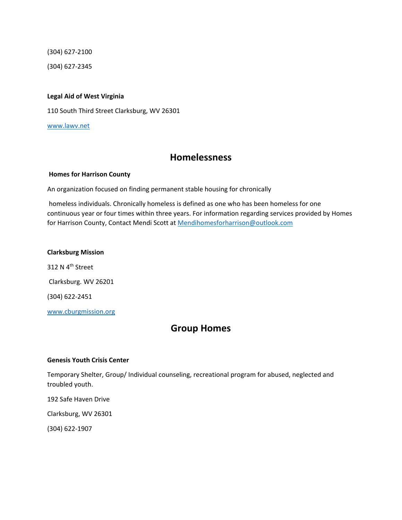(304) 627-2100

(304) 627-2345

#### **Legal Aid of West Virginia**

110 South Third Street Clarksburg, WV 26301

[www.lawv.net](http://www.lawv.net/)

## **Homelessness**

#### **Homes for Harrison County**

An organization focused on finding permanent stable housing for chronically

homeless individuals. Chronically homeless is defined as one who has been homeless for one continuous year or four times within three years. For information regarding services provided by Homes for Harrison County, Contact Mendi Scott at [Mendihomesforharrison@outlook.com](mailto:Mendihomesforharrison@outlook.com)

#### **Clarksburg Mission**

312 N 4<sup>th</sup> Street Clarksburg. WV 26201 (304) 622-2451

[www.cburgmission.org](http://www.cburgmission.org/)

# **Group Homes**

#### **Genesis Youth Crisis Center**

Temporary Shelter, Group/ Individual counseling, recreational program for abused, neglected and troubled youth.

192 Safe Haven Drive

Clarksburg, WV 26301

(304) 622-1907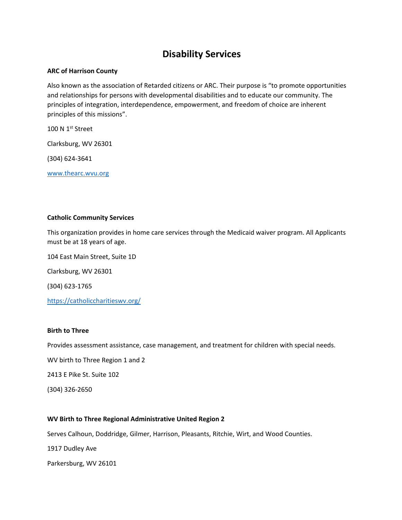# **Disability Services**

#### **ARC of Harrison County**

Also known as the association of Retarded citizens or ARC. Their purpose is "to promote opportunities and relationships for persons with developmental disabilities and to educate our community. The principles of integration, interdependence, empowerment, and freedom of choice are inherent principles of this missions".

100 N 1<sup>st</sup> Street

Clarksburg, WV 26301

(304) 624-3641

[www.thearc.wvu.org](http://www.thearc.wvu.org/)

#### **Catholic Community Services**

This organization provides in home care services through the Medicaid waiver program. All Applicants must be at 18 years of age.

104 East Main Street, Suite 1D

Clarksburg, WV 26301

(304) 623-1765

<https://catholiccharitieswv.org/>

#### **Birth to Three**

Provides assessment assistance, case management, and treatment for children with special needs.

WV birth to Three Region 1 and 2

2413 E Pike St. Suite 102

(304) 326-2650

#### **WV Birth to Three Regional Administrative United Region 2**

Serves Calhoun, Doddridge, Gilmer, Harrison, Pleasants, Ritchie, Wirt, and Wood Counties.

1917 Dudley Ave

Parkersburg, WV 26101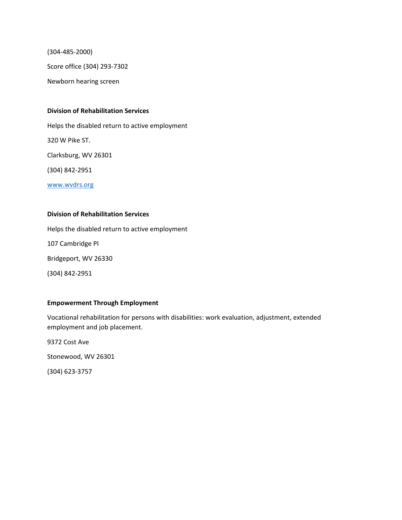(304-485-2000)

Score office (304) 293-7302

Newborn hearing screen

#### **Division of Rehabilitation Services**

Helps the disabled return to active employment 320 W Pike ST. Clarksburg, WV 26301 (304) 842-2951 [www.wvdrs.org](http://www.wvdrs.org/)

#### **Division of Rehabilitation Services**

Helps the disabled return to active employment 107 Cambridge PI Bridgeport, WV 26330 (304) 842-2951

#### **Empowerment Through Employment**

Vocational rehabilitation for persons with disabilities: work evaluation, adjustment, extended employment and job placement.

9372 Cost Ave

Stonewood, WV 26301

(304) 623-3757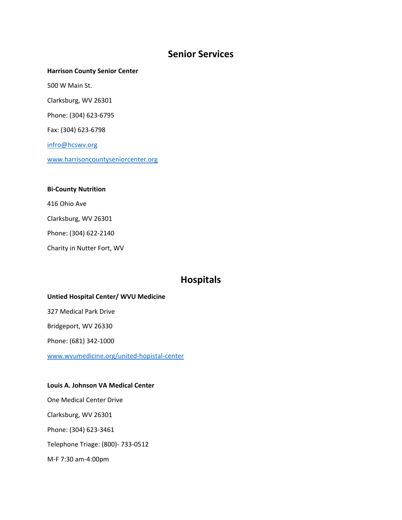# **Senior Services**

#### **Harrison County Senior Center**

500 W Main St.

Clarksburg, WV 26301

Phone: (304) 623-6795

Fax: (304) 623-6798

[infro@hcswv.org](mailto:infro@hcswv.org)

[www.harrisoncountyseniorcenter.org](http://www.harrisoncountyseniorcenter.org/)

#### **Bi-County Nutrition**

416 Ohio Ave

Clarksburg, WV 26301

Phone: (304) 622-2140

Charity in Nutter Fort, WV

### **Hospitals**

#### **Untied Hospital Center/ WVU Medicine**

327 Medical Park Drive

Bridgeport, WV 26330

Phone: (681) 342-1000

[www.wvumedicine.org/united-hopistal-center](http://www.wvumedicine.org/united-hopistal-center)

#### **Louis A. Johnson VA Medical Center**

One Medical Center Drive Clarksburg, WV 26301 Phone: (304) 623-3461 Telephone Triage: (800)- 733-0512 M-F 7:30 am-4:00pm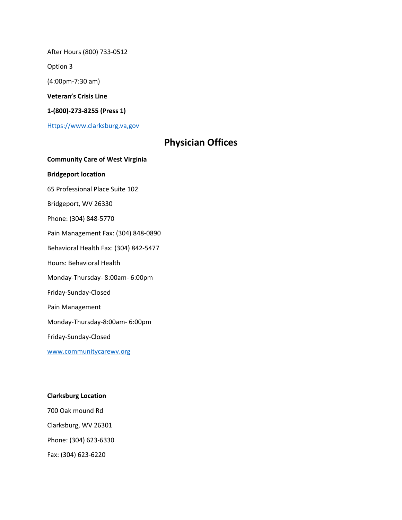After Hours (800) 733-0512

Option 3

(4:00pm-7:30 am)

**Veteran's Crisis Line**

**1-(800)-273-8255 (Press 1)** 

[Https://www.clarksburg,va,gov](https://www.clarksburg,va,gov/)

# **Physician Offices**

**Community Care of West Virginia Bridgeport location** 65 Professional Place Suite 102 Bridgeport, WV 26330 Phone: (304) 848-5770 Pain Management Fax: (304) 848-0890 Behavioral Health Fax: (304) 842-5477 Hours: Behavioral Health Monday-Thursday- 8:00am- 6:00pm Friday-Sunday-Closed Pain Management Monday-Thursday-8:00am- 6:00pm Friday-Sunday-Closed [www.communitycarewv.org](http://www.communitycarewv.org/)

#### **Clarksburg Location**

700 Oak mound Rd Clarksburg, WV 26301 Phone: (304) 623-6330 Fax: (304) 623-6220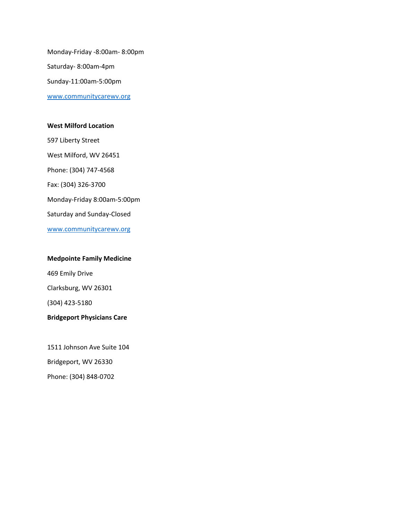Monday-Friday -8:00am- 8:00pm Saturday- 8:00am-4pm Sunday-11:00am-5:00pm [www.communitycarewv.org](http://www.communitycarewv.org/)

#### **West Milford Location**

597 Liberty Street West Milford, WV 26451 Phone: (304) 747-4568 Fax: (304) 326-3700 Monday-Friday 8:00am-5:00pm Saturday and Sunday-Closed [www.communitycarewv.org](http://www.communitycarewv.org/)

**Medpointe Family Medicine**  469 Emily Drive Clarksburg, WV 26301 (304) 423-5180 **Bridgeport Physicians Care**

1511 Johnson Ave Suite 104 Bridgeport, WV 26330 Phone: (304) 848-0702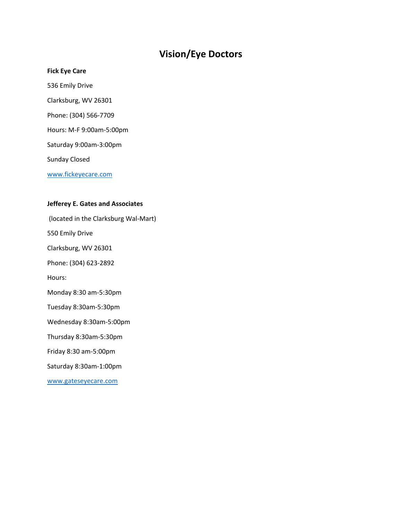# **Vision/Eye Doctors**

#### **Fick Eye Care**

- 536 Emily Drive
- Clarksburg, WV 26301
- Phone: (304) 566-7709
- Hours: M-F 9:00am-5:00pm
- Saturday 9:00am-3:00pm

Sunday Closed

[www.fickeyecare.com](http://www.fickeyecare.com/)

#### **Jefferey E. Gates and Associates**

(located in the Clarksburg Wal-Mart)

550 Emily Drive

Clarksburg, WV 26301

Phone: (304) 623-2892

Hours:

Monday 8:30 am-5:30pm

Tuesday 8:30am-5:30pm

Wednesday 8:30am-5:00pm

Thursday 8:30am-5:30pm

Friday 8:30 am-5:00pm

Saturday 8:30am-1:00pm

[www.gateseyecare.com](http://www.gateseyecare.com/)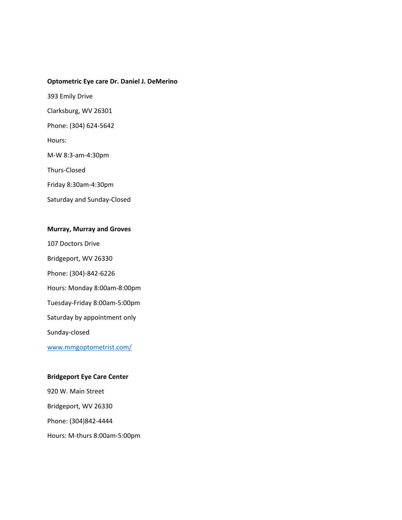#### **Optometric Eye care Dr. Daniel J. DeMerino**

393 Emily Drive

Clarksburg, WV 26301

Phone: (304) 624-5642

Hours:

M-W 8:3-am-4:30pm

Thurs-Closed

Friday 8:30am-4:30pm

Saturday and Sunday-Closed

#### **Murray, Murray and Groves**

107 Doctors Drive

Bridgeport, WV 26330

Phone: (304)-842-6226

Hours: Monday 8:00am-8:00pm

Tuesday-Friday 8:00am-5:00pm

Saturday by appointment only

Sunday-closed

[www.mmgoptometrist.com/](http://www.mmgoptometrist.com/)

#### **Bridgeport Eye Care Center**

920 W. Main Street Bridgeport, WV 26330 Phone: (304)842-4444 Hours: M-thurs 8:00am-5:00pm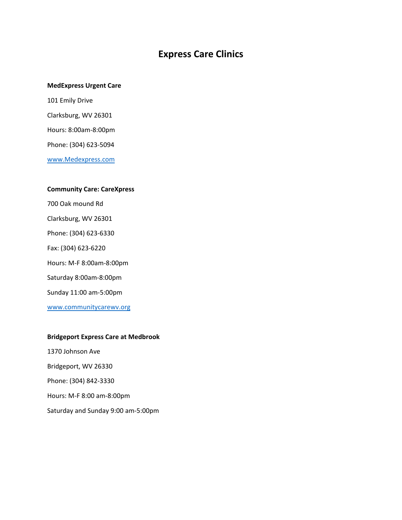# **Express Care Clinics**

#### **MedExpress Urgent Care**

101 Emily Drive Clarksburg, WV 26301 Hours: 8:00am-8:00pm Phone: (304) 623-5094 [www.Medexpress.com](http://www.medexpress.com/)

# **Community Care: CareXpress**

700 Oak mound Rd Clarksburg, WV 26301

Phone: (304) 623-6330

Fax: (304) 623-6220

Hours: M-F 8:00am-8:00pm

Saturday 8:00am-8:00pm

Sunday 11:00 am-5:00pm

[www.communitycarewv.org](http://www.communitycarewv.org/)

#### **Bridgeport Express Care at Medbrook**

1370 Johnson Ave Bridgeport, WV 26330 Phone: (304) 842-3330 Hours: M-F 8:00 am-8:00pm Saturday and Sunday 9:00 am-5:00pm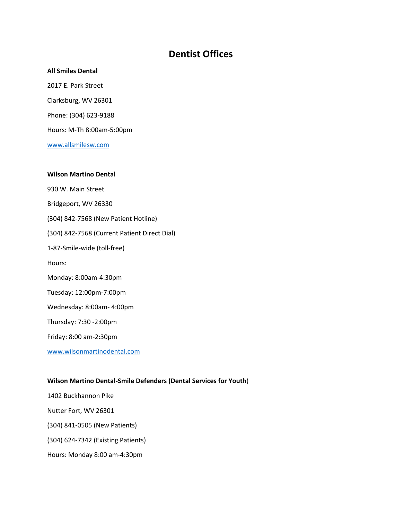# **Dentist Offices**

#### **All Smiles Dental**

2017 E. Park Street Clarksburg, WV 26301 Phone: (304) 623-9188 Hours: M-Th 8:00am-5:00pm [www.allsmilesw.com](http://www.allsmilesw.com/)

# **Wilson Martino Dental**  930 W. Main Street Bridgeport, WV 26330 (304) 842-7568 (New Patient Hotline) (304) 842-7568 (Current Patient Direct Dial) 1-87-Smile-wide (toll-free) Hours: Monday: 8:00am-4:30pm Tuesday: 12:00pm-7:00pm Wednesday: 8:00am- 4:00pm Thursday: 7:30 -2:00pm Friday: 8:00 am-2:30pm [www.wilsonmartinodental.com](http://www.wilsonmartinodental.com/)

#### **Wilson Martino Dental-Smile Defenders (Dental Services for Youth**)

1402 Buckhannon Pike

Nutter Fort, WV 26301

(304) 841-0505 (New Patients)

(304) 624-7342 (Existing Patients)

Hours: Monday 8:00 am-4:30pm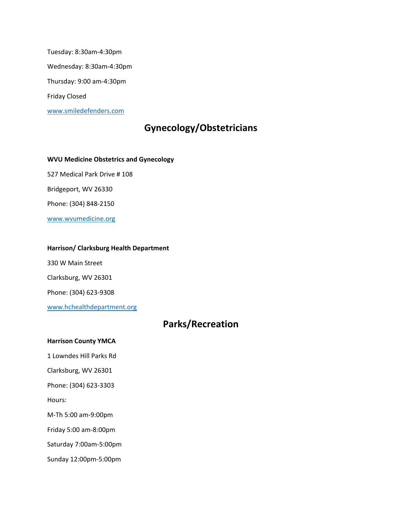Tuesday: 8:30am-4:30pm Wednesday: 8:30am-4:30pm Thursday: 9:00 am-4:30pm Friday Closed [www.smiledefenders.com](http://www.smiledefenders.com/)

# **Gynecology/Obstetricians**

**WVU Medicine Obstetrics and Gynecology**  527 Medical Park Drive # 108 Bridgeport, WV 26330 Phone: (304) 848-2150 [www.wvumedicine.org](http://www.wvumedicine.org/)

#### **Harrison/ Clarksburg Health Department**

330 W Main Street

Clarksburg, WV 26301

Phone: (304) 623-9308

[www.hchealthdepartment.org](http://www.hchealthdepartment.org/)

# **Parks/Recreation**

#### **Harrison County YMCA**

1 Lowndes Hill Parks Rd

Clarksburg, WV 26301

Phone: (304) 623-3303

Hours:

M-Th 5:00 am-9:00pm

Friday 5:00 am-8:00pm

Saturday 7:00am-5:00pm

Sunday 12:00pm-5:00pm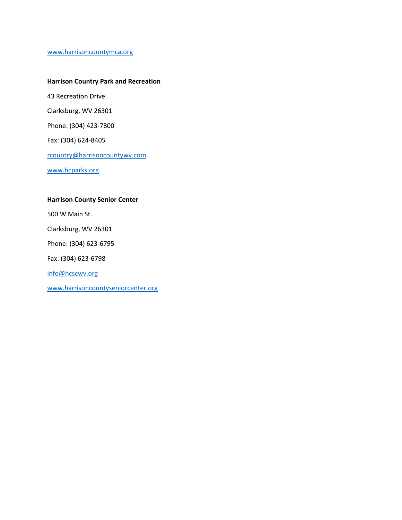[www.harrisoncountymca.org](http://www.harrisoncountymca.org/)

#### **Harrison Country Park and Recreation**

43 Recreation Drive

Clarksburg, WV 26301

Phone: (304) 423-7800

Fax: (304) 624-8405

[rcountry@harrisoncountywv.com](mailto:rcountry@harrisoncountywv.com)

[www.hcparks.org](http://www.hcparks.org/)

#### **Harrison County Senior Center**

500 W Main St.

Clarksburg, WV 26301

Phone: (304) 623-6795

Fax: (304) 623-6798

[info@hcscwv.org](mailto:info@hcscwv.org)

[www.harrisoncountyseniorcenter.org](http://www.harrisoncountyseniorcenter.org/)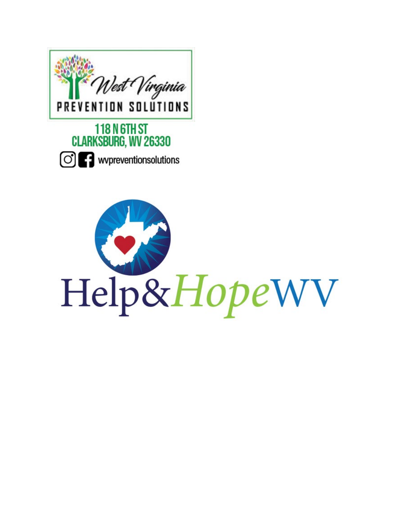